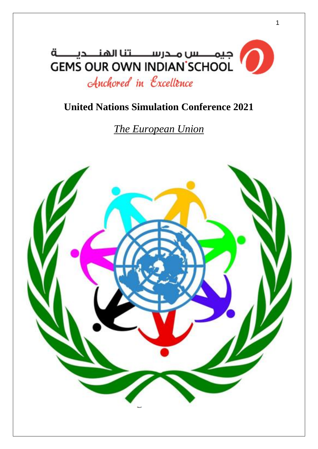

# **United Nations Simulation Conference 2021**

*The European Union*

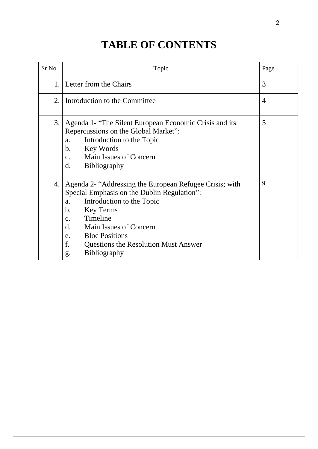# **TABLE OF CONTENTS**

| Sr.No. | Topic                                                                                                                                                                                                                                                                                                                                              | Page           |
|--------|----------------------------------------------------------------------------------------------------------------------------------------------------------------------------------------------------------------------------------------------------------------------------------------------------------------------------------------------------|----------------|
|        | 1. Letter from the Chairs                                                                                                                                                                                                                                                                                                                          | 3              |
| 2.     | Introduction to the Committee                                                                                                                                                                                                                                                                                                                      | $\overline{4}$ |
| 3.     | Agenda 1- "The Silent European Economic Crisis and its<br>Repercussions on the Global Market":<br>Introduction to the Topic<br>a.<br>Key Words<br>$\mathbf{b}$ .<br><b>Main Issues of Concern</b><br>$C_{\bullet}$<br><b>Bibliography</b><br>$\mathbf{d}$ .                                                                                        | 5              |
| 4.     | Agenda 2- "Addressing the European Refugee Crisis; with<br>Special Emphasis on the Dublin Regulation":<br>Introduction to the Topic<br>a.<br><b>Key Terms</b><br>b.<br>Timeline<br>$\mathbf{C}$ .<br>Main Issues of Concern<br>d.<br><b>Bloc Positions</b><br>e.<br>f.<br><b>Questions the Resolution Must Answer</b><br><b>Bibliography</b><br>g. | 9              |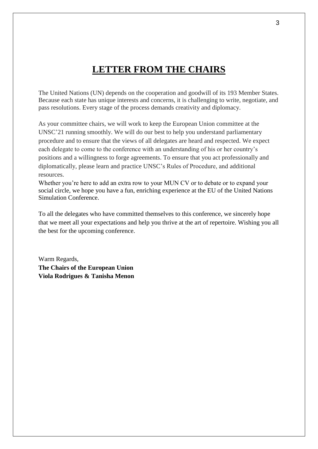# **LETTER FROM THE CHAIRS**

The United Nations (UN) depends on the cooperation and goodwill of its 193 Member States. Because each state has unique interests and concerns, it is challenging to write, negotiate, and pass resolutions. Every stage of the process demands creativity and diplomacy.

As your committee chairs, we will work to keep the European Union committee at the UNSC'21 running smoothly. We will do our best to help you understand parliamentary procedure and to ensure that the views of all delegates are heard and respected. We expect each delegate to come to the conference with an understanding of his or her country's positions and a willingness to forge agreements. To ensure that you act professionally and diplomatically, please learn and practice UNSC's Rules of Procedure, and additional resources.

Whether you're here to add an extra row to your MUN CV or to debate or to expand your social circle, we hope you have a fun, enriching experience at the EU of the United Nations Simulation Conference.

To all the delegates who have committed themselves to this conference, we sincerely hope that we meet all your expectations and help you thrive at the art of repertoire. Wishing you all the best for the upcoming conference.

Warm Regards, **The Chairs of the European Union Viola Rodrigues & Tanisha Menon**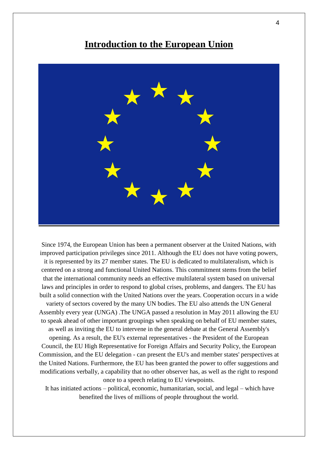### **Introduction to the European Union**



Since 1974, the European Union has been a permanent observer at the United Nations, with improved participation privileges since 2011. Although the EU does not have voting powers, it is represented by its 27 member states. The EU is dedicated to multilateralism, which is centered on a strong and functional United Nations. This commitment stems from the belief that the international community needs an effective multilateral system based on universal laws and principles in order to respond to global crises, problems, and dangers. The EU has built a solid connection with the United Nations over the years. Cooperation occurs in a wide variety of sectors covered by the many UN bodies. The EU also attends the UN General Assembly every year (UNGA) .The UNGA passed a resolution in May 2011 allowing the EU to speak ahead of other important groupings when speaking on behalf of EU member states, as well as inviting the EU to intervene in the general debate at the General Assembly's opening. As a result, the EU's external representatives - the President of the European Council, the EU High Representative for Foreign Affairs and Security Policy, the European Commission, and the EU delegation - can present the EU's and member states' perspectives at the United Nations. Furthermore, the EU has been granted the power to offer suggestions and modifications verbally, a capability that no other observer has, as well as the right to respond once to a speech relating to EU viewpoints.

It has initiated actions – political, economic, humanitarian, social, and legal – which have benefited the lives of millions of people throughout the world.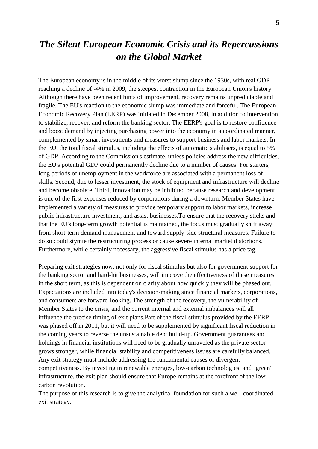# *The Silent European Economic Crisis and its Repercussions on the Global Market*

The European economy is in the middle of its worst slump since the 1930s, with real GDP reaching a decline of -4% in 2009, the steepest contraction in the European Union's history. Although there have been recent hints of improvement, recovery remains unpredictable and fragile. The EU's reaction to the economic slump was immediate and forceful. The European Economic Recovery Plan (EERP) was initiated in December 2008, in addition to intervention to stabilize, recover, and reform the banking sector. The EERP's goal is to restore confidence and boost demand by injecting purchasing power into the economy in a coordinated manner, complemented by smart investments and measures to support business and labor markets. In the EU, the total fiscal stimulus, including the effects of automatic stabilisers, is equal to 5% of GDP. According to the Commission's estimate, unless policies address the new difficulties, the EU's potential GDP could permanently decline due to a number of causes. For starters, long periods of unemployment in the workforce are associated with a permanent loss of skills. Second, due to lesser investment, the stock of equipment and infrastructure will decline and become obsolete. Third, innovation may be inhibited because research and development is one of the first expenses reduced by corporations during a downturn. Member States have implemented a variety of measures to provide temporary support to labor markets, increase public infrastructure investment, and assist businesses.To ensure that the recovery sticks and that the EU's long-term growth potential is maintained, the focus must gradually shift away from short-term demand management and toward supply-side structural measures. Failure to do so could stymie the restructuring process or cause severe internal market distortions. Furthermore, while certainly necessary, the aggressive fiscal stimulus has a price tag.

Preparing exit strategies now, not only for fiscal stimulus but also for government support for the banking sector and hard-hit businesses, will improve the effectiveness of these measures in the short term, as this is dependent on clarity about how quickly they will be phased out. Expectations are included into today's decision-making since financial markets, corporations, and consumers are forward-looking. The strength of the recovery, the vulnerability of Member States to the crisis, and the current internal and external imbalances will all influence the precise timing of exit plans.Part of the fiscal stimulus provided by the EERP was phased off in 2011, but it will need to be supplemented by significant fiscal reduction in the coming years to reverse the unsustainable debt build-up. Government guarantees and holdings in financial institutions will need to be gradually unraveled as the private sector grows stronger, while financial stability and competitiveness issues are carefully balanced. Any exit strategy must include addressing the fundamental causes of divergent competitiveness. By investing in renewable energies, low-carbon technologies, and "green" infrastructure, the exit plan should ensure that Europe remains at the forefront of the lowcarbon revolution.

The purpose of this research is to give the analytical foundation for such a well-coordinated exit strategy.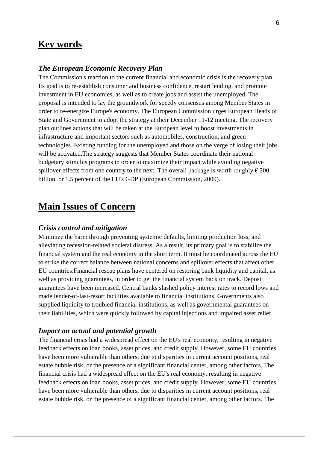### **Key words**

#### *The European Economic Recovery Plan*

The Commission's reaction to the current financial and economic crisis is the recovery plan. Its goal is to re-establish consumer and business confidence, restart lending, and promote investment in EU economies, as well as to create jobs and assist the unemployed. The proposal is intended to lay the groundwork for speedy consensus among Member States in order to re-energize Europe's economy. The European Commission urges European Heads of State and Government to adopt the strategy at their December 11-12 meeting. The recovery plan outlines actions that will be taken at the European level to boost investments in infrastructure and important sectors such as automobiles, construction, and green technologies. Existing funding for the unemployed and those on the verge of losing their jobs will be activated.The strategy suggests that Member States coordinate their national budgetary stimulus programs in order to maximize their impact while avoiding negative spillover effects from one country to the next. The overall package is worth roughly  $\epsilon$  200 billion, or 1.5 percent of the EU's GDP (European Commission, 2009).

### **Main Issues of Concern**

#### *Crisis control and mitigation*

Minimize the harm through preventing systemic defaults, limiting production loss, and alleviating recession-related societal distress. As a result, its primary goal is to stabilize the financial system and the real economy in the short term. It must be coordinated across the EU to strike the correct balance between national concerns and spillover effects that affect other EU countries.Financial rescue plans have centered on restoring bank liquidity and capital, as well as providing guarantees, in order to get the financial system back on track. Deposit guarantees have been increased. Central banks slashed policy interest rates to record lows and made lender-of-last-resort facilities available to financial institutions. Governments also supplied liquidity to troubled financial institutions, as well as governmental guarantees on their liabilities, which were quickly followed by capital injections and impaired asset relief.

#### *Impact on actual and potential growth*

The financial crisis had a widespread effect on the EU's real economy, resulting in negative feedback effects on loan books, asset prices, and credit supply. However, some EU countries have been more vulnerable than others, due to disparities in current account positions, real estate bubble risk, or the presence of a significant financial center, among other factors. The financial crisis had a widespread effect on the EU's real economy, resulting in negative feedback effects on loan books, asset prices, and credit supply. However, some EU countries have been more vulnerable than others, due to disparities in current account positions, real estate bubble risk, or the presence of a significant financial center, among other factors. The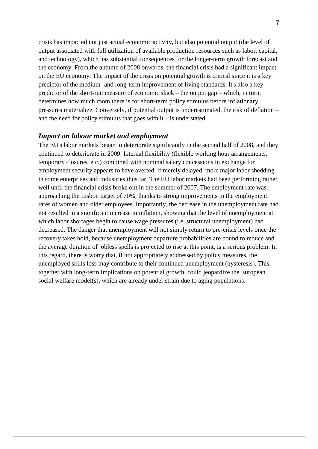crisis has impacted not just actual economic activity, but also potential output (the level of output associated with full utilization of available production resources such as labor, capital, and technology), which has substantial consequences for the longer-term growth forecast and the economy. From the autumn of 2008 onwards, the financial crisis had a significant impact on the EU economy. The impact of the crisis on potential growth is critical since it is a key predictor of the medium- and long-term improvement of living standards. It's also a key predictor of the short-run measure of economic slack – the output gap – which, in turn, determines how much room there is for short-term policy stimulus before inflationary pressures materialize. Conversely, if potential output is underestimated, the risk of deflation – and the need for policy stimulus that goes with  $it - is$  understated.

#### *Impact on labour market and employment*

The EU's labor markets began to deteriorate significantly in the second half of 2008, and they continued to deteriorate in 2009. Internal flexibility (flexible working hour arrangements, temporary closures, etc.) combined with nominal salary concessions in exchange for employment security appears to have averted, if merely delayed, more major labor shedding in some enterprises and industries thus far. The EU labor markets had been performing rather well until the financial crisis broke out in the summer of 2007. The employment rate was approaching the Lisbon target of 70%, thanks to strong improvements in the employment rates of women and older employees. Importantly, the decrease in the unemployment rate had not resulted in a significant increase in inflation, showing that the level of unemployment at which labor shortages begin to cause wage pressures (i.e. structural unemployment) had decreased. The danger that unemployment will not simply return to pre-crisis levels once the recovery takes hold, because unemployment departure probabilities are bound to reduce and the average duration of jobless spells is projected to rise at this point, is a serious problem. In this regard, there is worry that, if not appropriately addressed by policy measures, the unemployed skills loss may contribute to their continued unemployment (hysteresis). This, together with long-term implications on potential growth, could jeopardize the European social welfare model(s), which are already under strain due to aging populations.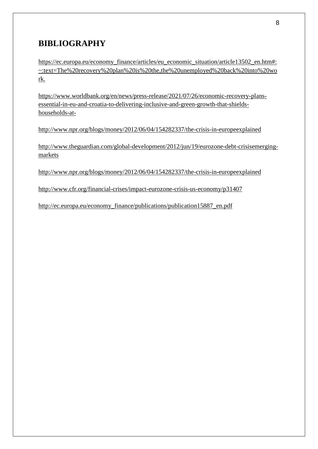### **BIBLIOGRAPHY**

[https://ec.europa.eu/economy\\_finance/articles/eu\\_economic\\_situation/article13502\\_en.htm#:](https://ec.europa.eu/economy_finance/articles/eu_economic_situation/article13502_en.htm#:~:text=The%20recovery%20plan%20is%20the,the%20unemployed%20back%20into%20work) [~:text=The%20recovery%20plan%20is%20the,the%20unemployed%20back%20into%20wo](https://ec.europa.eu/economy_finance/articles/eu_economic_situation/article13502_en.htm#:~:text=The%20recovery%20plan%20is%20the,the%20unemployed%20back%20into%20work) [rk.](https://ec.europa.eu/economy_finance/articles/eu_economic_situation/article13502_en.htm#:~:text=The%20recovery%20plan%20is%20the,the%20unemployed%20back%20into%20work)

[https://www.worldbank.org/en/news/press-release/2021/07/26/economic-recovery-plans](https://www.worldbank.org/en/news/press-release/2021/07/26/economic-recovery-plans-essential-in-eu-and-croatia-to-delivering-inclusive-and-green-growth-that-shields-households-at-)[essential-in-eu-and-croatia-to-delivering-inclusive-and-green-growth-that-shields](https://www.worldbank.org/en/news/press-release/2021/07/26/economic-recovery-plans-essential-in-eu-and-croatia-to-delivering-inclusive-and-green-growth-that-shields-households-at-)[households-at-](https://www.worldbank.org/en/news/press-release/2021/07/26/economic-recovery-plans-essential-in-eu-and-croatia-to-delivering-inclusive-and-green-growth-that-shields-households-at-)

<http://www.npr.org/blogs/money/2012/06/04/154282337/the-crisis-in-europeexplained>

http://www.theguardian.com/global-development/2012/jun/19/eurozone-debt-crisisemergingmarkets

<http://www.npr.org/blogs/money/2012/06/04/154282337/the-crisis-in-europeexplained>

<http://www.cfr.org/financial-crises/impact-eurozone-crisis-us-economy/p31407>

[http://ec.europa.eu/economy\\_finance/publications/publication15887\\_en.pdf](http://ec.europa.eu/economy_finance/publications/publication15887_en.pdf)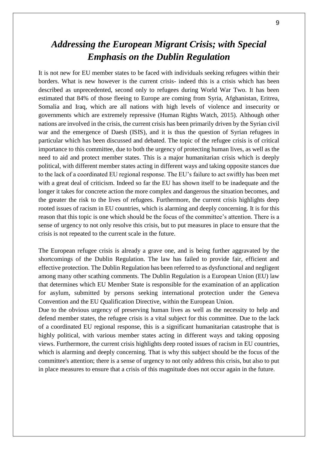# *Addressing the European Migrant Crisis; with Special Emphasis on the Dublin Regulation*

It is not new for EU member states to be faced with individuals seeking refugees within their borders. What is new however is the current crisis- indeed this is a crisis which has been described as unprecedented, second only to refugees during World War Two. It has been estimated that 84% of those fleeing to Europe are coming from Syria, Afghanistan, Eritrea, Somalia and Iraq, which are all nations with high levels of violence and insecurity or governments which are extremely repressive (Human Rights Watch, 2015). Although other nations are involved in the crisis, the current crisis has been primarily driven by the Syrian civil war and the emergence of Daesh (ISIS), and it is thus the question of Syrian refugees in particular which has been discussed and debated. The topic of the refugee crisis is of critical importance to this committee, due to both the urgency of protecting human lives, as well as the need to aid and protect member states. This is a major humanitarian crisis which is deeply political, with different member states acting in different ways and taking opposite stances due to the lack of a coordinated EU regional response. The EU's failure to act swiftly has been met with a great deal of criticism. Indeed so far the EU has shown itself to be inadequate and the longer it takes for concrete action the more complex and dangerous the situation becomes, and the greater the risk to the lives of refugees. Furthermore, the current crisis highlights deep rooted issues of racism in EU countries, which is alarming and deeply concerning. It is for this reason that this topic is one which should be the focus of the committee's attention. There is a sense of urgency to not only resolve this crisis, but to put measures in place to ensure that the crisis is not repeated to the current scale in the future.

The European refugee crisis is already a grave one, and is being further aggravated by the shortcomings of the Dublin Regulation. The law has failed to provide fair, efficient and effective protection. The Dublin Regulation has been referred to as dysfunctional and negligent among many other scathing comments. The Dublin Regulation is a European Union (EU) law that determines which EU Member State is responsible for the examination of an application for asylum, submitted by persons seeking international protection under the Geneva Convention and the EU Qualification Directive, within the European Union.

Due to the obvious urgency of preserving human lives as well as the necessity to help and defend member states, the refugee crisis is a vital subject for this committee. Due to the lack of a coordinated EU regional response, this is a significant humanitarian catastrophe that is highly political, with various member states acting in different ways and taking opposing views. Furthermore, the current crisis highlights deep rooted issues of racism in EU countries, which is alarming and deeply concerning. That is why this subject should be the focus of the committee's attention; there is a sense of urgency to not only address this crisis, but also to put in place measures to ensure that a crisis of this magnitude does not occur again in the future.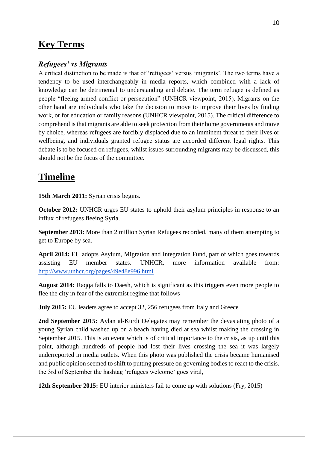### **Key Terms**

### *Refugees' vs Migrants*

A critical distinction to be made is that of 'refugees' versus 'migrants'. The two terms have a tendency to be used interchangeably in media reports, which combined with a lack of knowledge can be detrimental to understanding and debate. The term refugee is defined as people "fleeing armed conflict or persecution" (UNHCR viewpoint, 2015). Migrants on the other hand are individuals who take the decision to move to improve their lives by finding work, or for education or family reasons (UNHCR viewpoint, 2015). The critical difference to comprehend is that migrants are able to seek protection from their home governments and move by choice, whereas refugees are forcibly displaced due to an imminent threat to their lives or wellbeing, and individuals granted refugee status are accorded different legal rights. This debate is to be focused on refugees, whilst issues surrounding migrants may be discussed, this should not be the focus of the committee.

### **Timeline**

**15th March 2011:** Syrian crisis begins.

**October 2012:** UNHCR urges EU states to uphold their asylum principles in response to an influx of refugees fleeing Syria.

**September 2013:** More than 2 million Syrian Refugees recorded, many of them attempting to get to Europe by sea.

**April 2014:** EU adopts Asylum, Migration and Integration Fund, part of which goes towards assisting EU member states. UNHCR, more information available from: <http://www.unhcr.org/pages/49e48e996.html>

**August 2014:** Raqqa falls to Daesh, which is significant as this triggers even more people to flee the city in fear of the extremist regime that follows

**July 2015:** EU leaders agree to accept 32, 256 refugees from Italy and Greece

**2nd September 2015:** Aylan al-Kurdi Delegates may remember the devastating photo of a young Syrian child washed up on a beach having died at sea whilst making the crossing in September 2015. This is an event which is of critical importance to the crisis, as up until this point, although hundreds of people had lost their lives crossing the sea it was largely underreported in media outlets. When this photo was published the crisis became humanised and public opinion seemed to shift to putting pressure on governing bodies to react to the crisis. the 3rd of September the hashtag 'refugees welcome' goes viral,

**12th September 2015:** EU interior ministers fail to come up with solutions (Fry, 2015)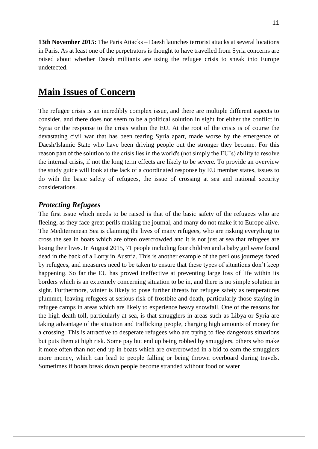**13th November 2015:** The Paris Attacks – Daesh launches terrorist attacks at several locations in Paris. As at least one of the perpetrators is thought to have travelled from Syria concerns are

**Main Issues of Concern**

undetected.

The refugee crisis is an incredibly complex issue, and there are multiple different aspects to consider, and there does not seem to be a political solution in sight for either the conflict in Syria or the response to the crisis within the EU. At the root of the crisis is of course the devastating civil war that has been tearing Syria apart, made worse by the emergence of Daesh/Islamic State who have been driving people out the stronger they become. For this reason part of the solution to the crisis lies in the world's (not simply the EU's) ability to resolve the internal crisis, if not the long term effects are likely to be severe. To provide an overview the study guide will look at the lack of a coordinated response by EU member states, issues to do with the basic safety of refugees, the issue of crossing at sea and national security considerations.

raised about whether Daesh militants are using the refugee crisis to sneak into Europe

#### *Protecting Refugees*

The first issue which needs to be raised is that of the basic safety of the refugees who are fleeing, as they face great perils making the journal, and many do not make it to Europe alive. The Mediterranean Sea is claiming the lives of many refugees, who are risking everything to cross the sea in boats which are often overcrowded and it is not just at sea that refugees are losing their lives. In August 2015, 71 people including four children and a baby girl were found dead in the back of a Lorry in Austria. This is another example of the perilous journeys faced by refugees, and measures need to be taken to ensure that these types of situations don't keep happening. So far the EU has proved ineffective at preventing large loss of life within its borders which is an extremely concerning situation to be in, and there is no simple solution in sight. Furthermore, winter is likely to pose further threats for refugee safety as temperatures plummet, leaving refugees at serious risk of frostbite and death, particularly those staying in refugee camps in areas which are likely to experience heavy snowfall. One of the reasons for the high death toll, particularly at sea, is that smugglers in areas such as Libya or Syria are taking advantage of the situation and trafficking people, charging high amounts of money for a crossing. This is attractive to desperate refugees who are trying to flee dangerous situations but puts them at high risk. Some pay but end up being robbed by smugglers, others who make it more often than not end up in boats which are overcrowded in a bid to earn the smugglers more money, which can lead to people falling or being thrown overboard during travels. Sometimes if boats break down people become stranded without food or water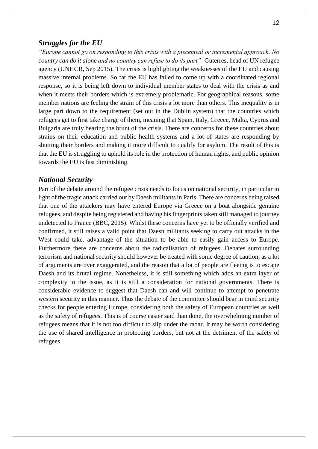### *Struggles for the EU*

*"Europe cannot go on responding to this crisis with a piecemeal or incremental approach. No country can do it alone and no country can refuse to do its part"*- Guterres, head of UN refugee agency (UNHCR, Sep 2015). The crisis is highlighting the weaknesses of the EU and causing massive internal problems. So far the EU has failed to come up with a coordinated regional response, so it is being left down to individual member states to deal with the crisis as and when it meets their borders which is extremely problematic. For geographical reasons, some member nations are feeling the strain of this crisis a lot more than others. This inequality is in large part down to the requirement (set out in the Dublin system) that the countries which refugees get to first take charge of them, meaning that Spain, Italy, Greece, Malta, Cyprus and Bulgaria are truly bearing the brunt of the crisis. There are concerns for these countries about strains on their education and public health systems and a lot of states are responding by shutting their borders and making it more difficult to qualify for asylum. The result of this is that the EU is struggling to uphold its role in the protection of human rights, and public opinion towards the EU is fast diminishing.

### *National Security*

Part of the debate around the refugee crisis needs to focus on national security, in particular in light of the tragic attack carried out by Daesh militants in Paris. There are concerns being raised that one of the attackers may have entered Europe via Greece on a boat alongside genuine refugees, and despite being registered and having his fingerprints taken still managed to journey undetected to France (BBC, 2015). Whilst these concerns have yet to be officially verified and confirmed, it still raises a valid point that Daesh militants seeking to carry out attacks in the West could take. advantage of the situation to be able to easily gain access to Europe. Furthermore there are concerns about the radicalisation of refugees. Debates surrounding terrorism and national security should however be treated with some degree of caution, as a lot of arguments are over exaggerated, and the reason that a lot of people are fleeing is to escape Daesh and its brutal regime. Nonetheless, it is still something which adds an extra layer of complexity to the issue, as it is still a consideration for national governments. There is considerable evidence to suggest that Daesh can and will continue to attempt to penetrate western security in this manner. Thus the debate of the committee should bear in mind security checks for people entering Europe, considering both the safety of European countries as well as the safety of refugees. This is of course easier said than done, the overwhelming number of refugees means that it is not too difficult to slip under the radar. It may be worth considering the use of shared intelligence in protecting borders, but not at the detriment of the safety of refugees.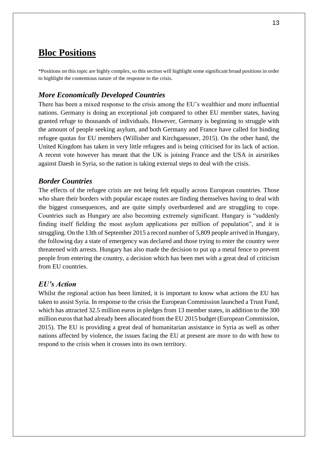### **Bloc Positions**

\*Positions on this topic are highly complex, so this section will highlight some significant broad positions in order to highlight the contentious nature of the response to the crisis.

### *More Economically Developed Countries*

There has been a mixed response to the crisis among the EU's wealthier and more influential nations. Germany is doing an exceptional job compared to other EU member states, having granted refuge to thousands of individuals. However, Germany is beginning to struggle with the amount of people seeking asylum, and both Germany and France have called for binding refugee quotas for EU members (Willisher and Kirchgaessner, 2015). On the other hand, the United Kingdom has taken in very little refugees and is being criticised for its lack of action. A recent vote however has meant that the UK is joining France and the USA in airstrikes against Daesh in Syria, so the nation is taking external steps to deal with the crisis.

### *Border Countries*

The effects of the refugee crisis are not being felt equally across European countries. Those who share their borders with popular escape routes are finding themselves having to deal with the biggest consequences, and are quite simply overburdened and are struggling to cope. Countries such as Hungary are also becoming extremely significant. Hungary is "suddenly finding itself fielding the most asylum applications per million of population", and it is struggling. On the 13th of September 2015 a record number of 5,809 people arrived in Hungary, the following day a state of emergency was declared and those trying to enter the country were threatened with arrests. Hungary has also made the decision to put up a metal fence to prevent people from entering the country, a decision which has been met with a great deal of criticism from EU countries.

### *EU's Action*

Whilst the regional action has been limited, it is important to know what actions the EU has taken to assist Syria. In response to the crisis the European Commission launched a Trust Fund, which has attracted 32.5 million euros in pledges from 13 member states, in addition to the 300 million euros that had already been allocated from the EU 2015 budget (European Commission, 2015). The EU is providing a great deal of humanitarian assistance in Syria as well as other nations affected by violence, the issues facing the EU at present are more to do with how to respond to the crisis when it crosses into its own territory.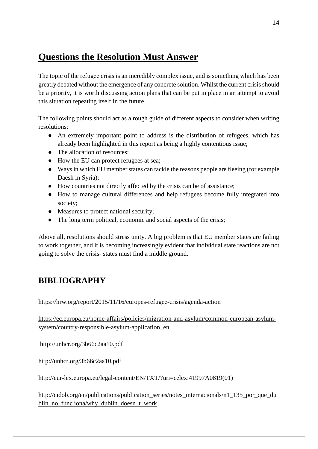# **Questions the Resolution Must Answer**

The topic of the refugee crisis is an incredibly complex issue, and is something which has been greatly debated without the emergence of any concrete solution. Whilst the current crisis should be a priority, it is worth discussing action plans that can be put in place in an attempt to avoid this situation repeating itself in the future.

The following points should act as a rough guide of different aspects to consider when writing resolutions:

- An extremely important point to address is the distribution of refugees, which has already been highlighted in this report as being a highly contentious issue;
- The allocation of resources;
- How the EU can protect refugees at sea;
- Ways in which EU member states can tackle the reasons people are fleeing (for example Daesh in Syria);
- How countries not directly affected by the crisis can be of assistance;
- How to manage cultural differences and help refugees become fully integrated into society;
- Measures to protect national security;
- The long term political, economic and social aspects of the crisis;

Above all, resolutions should stress unity. A big problem is that EU member states are failing to work together, and it is becoming increasingly evident that individual state reactions are not going to solve the crisis- states must find a middle ground.

# **BIBLIOGRAPHY**

<https://hrw.org/report/2015/11/16/europes-refugee-crisis/agenda-action>

[https://ec.europa.eu/home-affairs/policies/migration-and-asylum/common-european-asylum](https://ec.europa.eu/home-affairs/policies/migration-and-asylum/common-european-asylum-system/country-responsible-asylum-application_en)[system/country-responsible-asylum-application\\_en](https://ec.europa.eu/home-affairs/policies/migration-and-asylum/common-european-asylum-system/country-responsible-asylum-application_en)

<http://unhcr.org/3b66c2aa10.pdf>

<http://unhcr.org/3b66c2aa10.pdf>

[http://eur-lex.europa.eu/legal-content/EN/TXT/?uri=celex:41997A0819\(01\)](http://eur-lex.europa.eu/legal-content/EN/TXT/?uri=celex:41997A0819(01))

http://cidob.org/en/publications/publication\_series/notes\_internacionals/n1\_135\_por\_que\_du blin\_no\_func iona/why\_dublin\_doesn\_t\_work